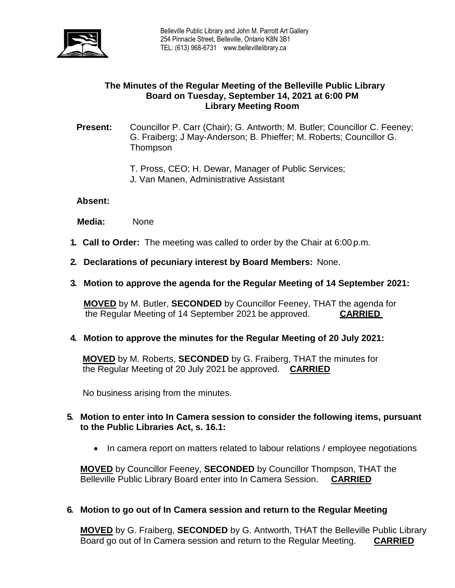

## **The Minutes of the Regular Meeting of the Belleville Public Library Board on Tuesday, September 14, 2021 at 6:00 PM Library Meeting Room**

## **Present:** Councillor P. Carr (Chair); G. Antworth; M. Butler; Councillor C. Feeney; G. Fraiberg; J May-Anderson; B. Phieffer; M. Roberts; Councillor G. **Thompson**

- T. Pross, CEO; H. Dewar, Manager of Public Services;
- J. Van Manen, Administrative Assistant

## **Absent:**

 **Media:** None

- **1. Call to Order:** The meeting was called to order by the Chair at 6:00 p.m.
- **2. Declarations of pecuniary interest by Board Members:** None.
- **3. Motion to approve the agenda for the Regular Meeting of 14 September 2021:**

**MOVED** by M. Butler, **SECONDED** by Councillor Feeney, THAT the agenda for the Regular Meeting of 14 September 2021 be approved. **CARRIED**

**4. Motion to approve the minutes for the Regular Meeting of 20 July 2021:**

**MOVED** by M. Roberts, **SECONDED** by G. Fraiberg, THAT the minutes for the Regular Meeting of 20 July 2021 be approved. **CARRIED**

No business arising from the minutes.

- **5. Motion to enter into In Camera session to consider the following items, pursuant to the Public Libraries Act, s. 16.1:**
	- In camera report on matters related to labour relations / employee negotiations

**MOVED** by Councillor Feeney, **SECONDED** by Councillor Thompson, THAT the Belleville Public Library Board enter into In Camera Session. **CARRIED**

## **6. Motion to go out of In Camera session and return to the Regular Meeting**

**MOVED** by G. Fraiberg, **SECONDED** by G. Antworth, THAT the Belleville Public Library Board go out of In Camera session and return to the Regular Meeting. **CARRIED**